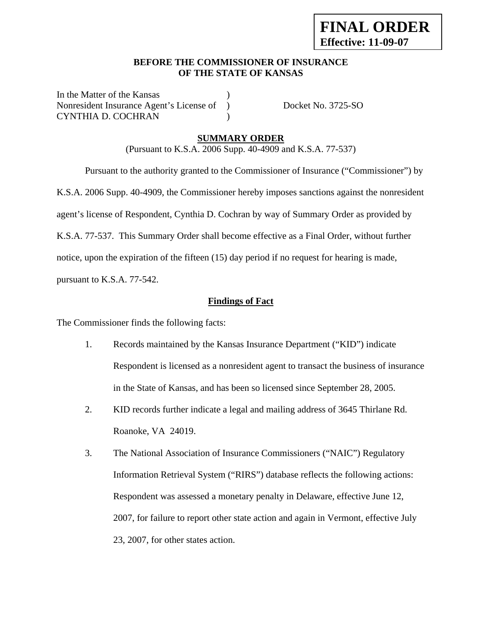## **BEFORE THE COMMISSIONER OF INSURANCE OF THE STATE OF KANSAS**

In the Matter of the Kansas Nonresident Insurance Agent's License of ) Docket No. 3725-SO CYNTHIA D. COCHRAN )

## **SUMMARY ORDER**

(Pursuant to K.S.A. 2006 Supp. 40-4909 and K.S.A. 77-537)

 Pursuant to the authority granted to the Commissioner of Insurance ("Commissioner") by K.S.A. 2006 Supp. 40-4909, the Commissioner hereby imposes sanctions against the nonresident agent's license of Respondent, Cynthia D. Cochran by way of Summary Order as provided by K.S.A. 77-537. This Summary Order shall become effective as a Final Order, without further notice, upon the expiration of the fifteen (15) day period if no request for hearing is made,

pursuant to K.S.A. 77-542.

## **Findings of Fact**

The Commissioner finds the following facts:

- 1. Records maintained by the Kansas Insurance Department ("KID") indicate Respondent is licensed as a nonresident agent to transact the business of insurance in the State of Kansas, and has been so licensed since September 28, 2005.
- 2. KID records further indicate a legal and mailing address of 3645 Thirlane Rd. Roanoke, VA 24019.
- 3. The National Association of Insurance Commissioners ("NAIC") Regulatory Information Retrieval System ("RIRS") database reflects the following actions: Respondent was assessed a monetary penalty in Delaware, effective June 12, 2007, for failure to report other state action and again in Vermont, effective July 23, 2007, for other states action.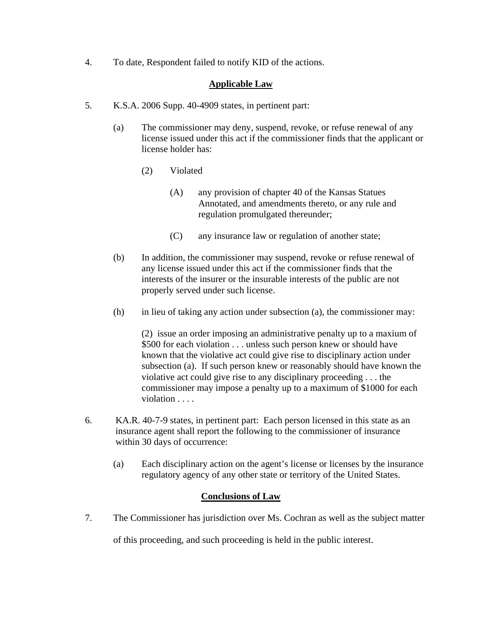4. To date, Respondent failed to notify KID of the actions.

## **Applicable Law**

- 5. K.S.A. 2006 Supp. 40-4909 states, in pertinent part:
	- (a) The commissioner may deny, suspend, revoke, or refuse renewal of any license issued under this act if the commissioner finds that the applicant or license holder has:
		- (2) Violated
			- (A) any provision of chapter 40 of the Kansas Statues Annotated, and amendments thereto, or any rule and regulation promulgated thereunder;
			- (C) any insurance law or regulation of another state;
	- (b) In addition, the commissioner may suspend, revoke or refuse renewal of any license issued under this act if the commissioner finds that the interests of the insurer or the insurable interests of the public are not properly served under such license.
	- (h) in lieu of taking any action under subsection (a), the commissioner may:

(2) issue an order imposing an administrative penalty up to a maxium of \$500 for each violation . . . unless such person knew or should have known that the violative act could give rise to disciplinary action under subsection (a). If such person knew or reasonably should have known the violative act could give rise to any disciplinary proceeding . . . the commissioner may impose a penalty up to a maximum of \$1000 for each violation . . . .

- 6. KA.R. 40-7-9 states, in pertinent part: Each person licensed in this state as an insurance agent shall report the following to the commissioner of insurance within 30 days of occurrence:
	- (a) Each disciplinary action on the agent's license or licenses by the insurance regulatory agency of any other state or territory of the United States.

## **Conclusions of Law**

7. The Commissioner has jurisdiction over Ms. Cochran as well as the subject matter

of this proceeding, and such proceeding is held in the public interest.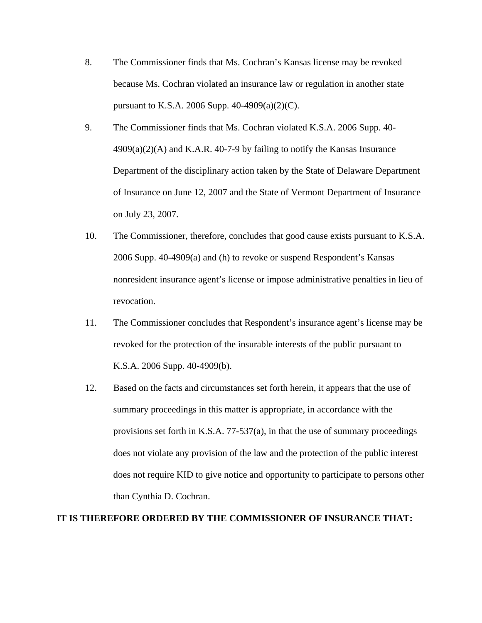- 8. The Commissioner finds that Ms. Cochran's Kansas license may be revoked because Ms. Cochran violated an insurance law or regulation in another state pursuant to K.S.A. 2006 Supp. 40-4909(a)(2)(C).
- 9. The Commissioner finds that Ms. Cochran violated K.S.A. 2006 Supp. 40-  $4909(a)(2)(A)$  and K.A.R.  $40-7-9$  by failing to notify the Kansas Insurance Department of the disciplinary action taken by the State of Delaware Department of Insurance on June 12, 2007 and the State of Vermont Department of Insurance on July 23, 2007.
- 10. The Commissioner, therefore, concludes that good cause exists pursuant to K.S.A. 2006 Supp. 40-4909(a) and (h) to revoke or suspend Respondent's Kansas nonresident insurance agent's license or impose administrative penalties in lieu of revocation.
- 11. The Commissioner concludes that Respondent's insurance agent's license may be revoked for the protection of the insurable interests of the public pursuant to K.S.A. 2006 Supp. 40-4909(b).
- 12. Based on the facts and circumstances set forth herein, it appears that the use of summary proceedings in this matter is appropriate, in accordance with the provisions set forth in K.S.A. 77-537(a), in that the use of summary proceedings does not violate any provision of the law and the protection of the public interest does not require KID to give notice and opportunity to participate to persons other than Cynthia D. Cochran.

#### **IT IS THEREFORE ORDERED BY THE COMMISSIONER OF INSURANCE THAT:**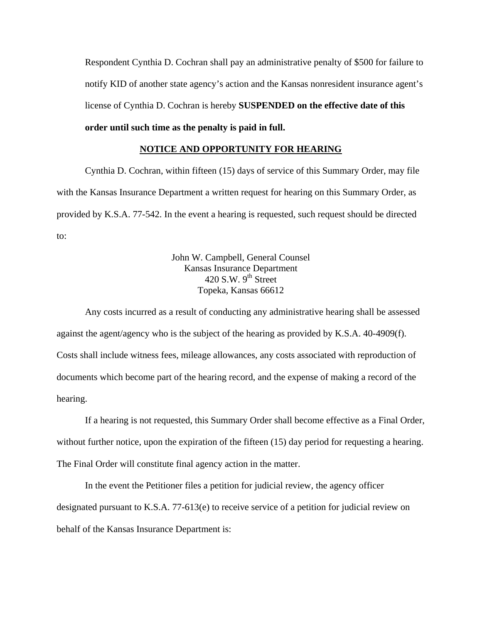Respondent Cynthia D. Cochran shall pay an administrative penalty of \$500 for failure to notify KID of another state agency's action and the Kansas nonresident insurance agent's license of Cynthia D. Cochran is hereby **SUSPENDED on the effective date of this** 

# **order until such time as the penalty is paid in full.**

## **NOTICE AND OPPORTUNITY FOR HEARING**

Cynthia D. Cochran, within fifteen (15) days of service of this Summary Order, may file with the Kansas Insurance Department a written request for hearing on this Summary Order, as provided by K.S.A. 77-542. In the event a hearing is requested, such request should be directed to:

> John W. Campbell, General Counsel Kansas Insurance Department  $420$  S.W.  $9<sup>th</sup>$  Street Topeka, Kansas 66612

Any costs incurred as a result of conducting any administrative hearing shall be assessed against the agent/agency who is the subject of the hearing as provided by K.S.A. 40-4909(f). Costs shall include witness fees, mileage allowances, any costs associated with reproduction of documents which become part of the hearing record, and the expense of making a record of the hearing.

If a hearing is not requested, this Summary Order shall become effective as a Final Order, without further notice, upon the expiration of the fifteen (15) day period for requesting a hearing. The Final Order will constitute final agency action in the matter.

In the event the Petitioner files a petition for judicial review, the agency officer designated pursuant to K.S.A. 77-613(e) to receive service of a petition for judicial review on behalf of the Kansas Insurance Department is: